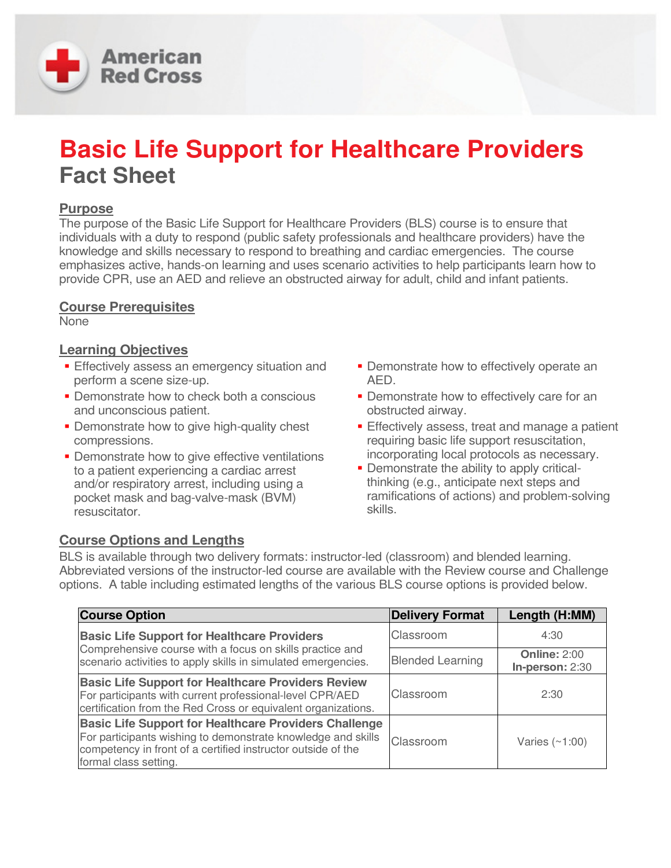

# **Basic Life Support for Healthcare Providers Fact Sheet**

## **Purpose**

The purpose of the Basic Life Support for Healthcare Providers (BLS) course is to ensure that individuals with a duty to respond (public safety professionals and healthcare providers) have the knowledge and skills necessary to respond to breathing and cardiac emergencies. The course emphasizes active, hands-on learning and uses scenario activities to help participants learn how to provide CPR, use an AED and relieve an obstructed airway for adult, child and infant patients.

## **Course Prerequisites**

None

## **Learning Objectives**

- **Effectively assess an emergency situation and** perform a scene size-up.
- **-** Demonstrate how to check both a conscious and unconscious patient.
- **Demonstrate how to give high-quality chest** compressions.
- **-** Demonstrate how to give effective ventilations to a patient experiencing a cardiac arrest and/or respiratory arrest, including using a pocket mask and bag-valve-mask (BVM) resuscitator.
- **Demonstrate how to effectively operate an** AED.
- **-** Demonstrate how to effectively care for an obstructed airway.
- **Effectively assess, treat and manage a patient** requiring basic life support resuscitation, incorporating local protocols as necessary.
- Demonstrate the ability to apply criticalthinking (e.g., anticipate next steps and ramifications of actions) and problem-solving skills.

## **Course Options and Lengths**

BLS is available through two delivery formats: instructor-led (classroom) and blended learning. Abbreviated versions of the instructor-led course are available with the Review course and Challenge options. A table including estimated lengths of the various BLS course options is provided below.

| <b>Course Option</b>                                                                                                                                                                                                  | <b>Delivery Format</b>  | Length (H:MM)                          |
|-----------------------------------------------------------------------------------------------------------------------------------------------------------------------------------------------------------------------|-------------------------|----------------------------------------|
| <b>Basic Life Support for Healthcare Providers</b><br>Comprehensive course with a focus on skills practice and<br>scenario activities to apply skills in simulated emergencies.                                       | Classroom               | 4:30                                   |
|                                                                                                                                                                                                                       | <b>Blended Learning</b> | <b>Online: 2:00</b><br>In-person: 2:30 |
| <b>Basic Life Support for Healthcare Providers Review</b><br>For participants with current professional-level CPR/AED<br>certification from the Red Cross or equivalent organizations.                                | Classroom               | 2:30                                   |
| <b>Basic Life Support for Healthcare Providers Challenge</b><br>For participants wishing to demonstrate knowledge and skills<br>competency in front of a certified instructor outside of the<br>formal class setting. | Classroom               | Varies $(\sim 1:00)$                   |